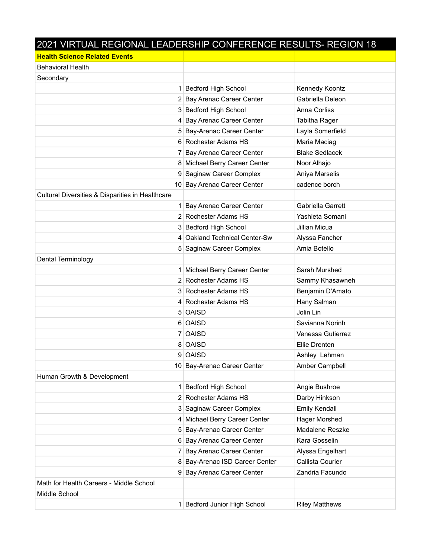## 2021 VIRTUAL REGIONAL LEADERSHIP CONFERENCE RESULTS- REGION 18

| <b>Health Science Related Events</b>             |                                |                       |
|--------------------------------------------------|--------------------------------|-----------------------|
| <b>Behavioral Health</b>                         |                                |                       |
| Secondary                                        |                                |                       |
|                                                  | 1 Bedford High School          | Kennedy Koontz        |
|                                                  | 2 Bay Arenac Career Center     | Gabriella Deleon      |
|                                                  | 3 Bedford High School          | Anna Corliss          |
|                                                  | 4 Bay Arenac Career Center     | Tabitha Rager         |
|                                                  | 5 Bay-Arenac Career Center     | Layla Somerfield      |
|                                                  | 6 Rochester Adams HS           | Maria Maciag          |
|                                                  | 7 Bay Arenac Career Center     | <b>Blake Sedlacek</b> |
|                                                  | 8 Michael Berry Career Center  | Noor Alhajo           |
|                                                  | 9 Saginaw Career Complex       | Aniya Marselis        |
|                                                  | 10 Bay Arenac Career Center    | cadence borch         |
| Cultural Diversities & Disparities in Healthcare |                                |                       |
|                                                  | 1 Bay Arenac Career Center     | Gabriella Garrett     |
|                                                  | 2 Rochester Adams HS           | Yashieta Somani       |
|                                                  | 3 Bedford High School          | Jillian Micua         |
|                                                  | 4 Oakland Technical Center-Sw  | Alyssa Fancher        |
|                                                  | 5 Saginaw Career Complex       | Amia Botello          |
| Dental Terminology                               |                                |                       |
|                                                  | 1 Michael Berry Career Center  | Sarah Murshed         |
|                                                  | 2 Rochester Adams HS           | Sammy Khasawneh       |
|                                                  | 3 Rochester Adams HS           | Benjamin D'Amato      |
|                                                  | 4 Rochester Adams HS           | Hany Salman           |
|                                                  | 5 OAISD                        | Jolin Lin             |
|                                                  | 6 OAISD                        | Savianna Norinh       |
|                                                  | 7 OAISD                        | Venessa Gutierrez     |
|                                                  | 8 OAISD                        | Ellie Drenten         |
|                                                  | 9 OAISD                        | Ashley Lehman         |
|                                                  | 10 Bay-Arenac Career Center    | Amber Campbell        |
| Human Growth & Development                       |                                |                       |
|                                                  | 1 Bedford High School          | Angie Bushroe         |
|                                                  | 2 Rochester Adams HS           | Darby Hinkson         |
|                                                  | 3 Saginaw Career Complex       | <b>Emily Kendall</b>  |
|                                                  | 4 Michael Berry Career Center  | Hager Morshed         |
|                                                  | 5 Bay-Arenac Career Center     | Madalene Reszke       |
|                                                  | 6 Bay Arenac Career Center     | Kara Gosselin         |
|                                                  | 7 Bay Arenac Career Center     | Alyssa Engelhart      |
|                                                  | 8 Bay-Arenac ISD Career Center | Callista Courier      |
|                                                  | 9 Bay Arenac Career Center     | Zandria Facundo       |
| Math for Health Careers - Middle School          |                                |                       |
| Middle School                                    |                                |                       |
|                                                  | 1 Bedford Junior High School   | <b>Riley Matthews</b> |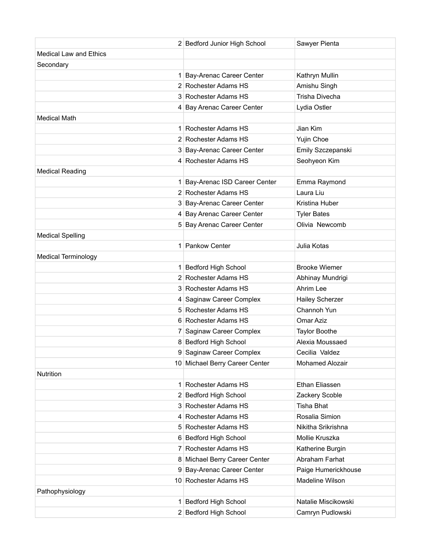|                               | 2 Bedford Junior High School   | Sawyer Pienta          |
|-------------------------------|--------------------------------|------------------------|
| <b>Medical Law and Ethics</b> |                                |                        |
| Secondary                     |                                |                        |
|                               | 1 Bay-Arenac Career Center     | Kathryn Mullin         |
|                               | 2 Rochester Adams HS           | Amishu Singh           |
|                               | 3 Rochester Adams HS           | <b>Trisha Divecha</b>  |
|                               | 4 Bay Arenac Career Center     | Lydia Ostler           |
| <b>Medical Math</b>           |                                |                        |
|                               | 1 Rochester Adams HS           | Jian Kim               |
|                               | 2 Rochester Adams HS           | Yujin Choe             |
|                               | 3 Bay-Arenac Career Center     | Emily Szczepanski      |
|                               | 4 Rochester Adams HS           | Seohyeon Kim           |
| <b>Medical Reading</b>        |                                |                        |
|                               | 1 Bay-Arenac ISD Career Center | Emma Raymond           |
|                               | 2 Rochester Adams HS           | Laura Liu              |
|                               | 3 Bay-Arenac Career Center     | Kristina Huber         |
|                               | 4 Bay Arenac Career Center     | <b>Tyler Bates</b>     |
|                               | 5 Bay Arenac Career Center     | Olivia Newcomb         |
| <b>Medical Spelling</b>       |                                |                        |
|                               | 1 Pankow Center                | Julia Kotas            |
| <b>Medical Terminology</b>    |                                |                        |
|                               | 1 Bedford High School          | <b>Brooke Wiemer</b>   |
|                               | 2 Rochester Adams HS           | Abhinay Mundrigi       |
|                               | 3 Rochester Adams HS           | Ahrim Lee              |
|                               | 4 Saginaw Career Complex       | Hailey Scherzer        |
|                               | 5 Rochester Adams HS           | Channoh Yun            |
|                               | 6 Rochester Adams HS           | Omar Aziz              |
|                               | 7 Saginaw Career Complex       | <b>Taylor Boothe</b>   |
|                               | 8 Bedford High School          | Alexia Moussaed        |
|                               | 9 Saginaw Career Complex       | Cecilia Valdez         |
|                               | 10 Michael Berry Career Center | <b>Mohamed Alozair</b> |
| <b>Nutrition</b>              |                                |                        |
|                               | 1 Rochester Adams HS           | Ethan Eliassen         |
|                               | 2 Bedford High School          | Zackery Scoble         |
|                               | 3 Rochester Adams HS           | <b>Tisha Bhat</b>      |
|                               | 4 Rochester Adams HS           | Rosalia Simion         |
|                               | 5 Rochester Adams HS           | Nikitha Srikrishna     |
|                               | 6 Bedford High School          | Mollie Kruszka         |
|                               | 7 Rochester Adams HS           | Katherine Burgin       |
|                               | 8 Michael Berry Career Center  | Abraham Farhat         |
|                               | 9 Bay-Arenac Career Center     | Paige Humerickhouse    |
|                               | 10 Rochester Adams HS          | Madeline Wilson        |
| Pathophysiology               |                                |                        |
|                               | 1 Bedford High School          | Natalie Miscikowski    |
|                               | 2 Bedford High School          | Camryn Pudlowski       |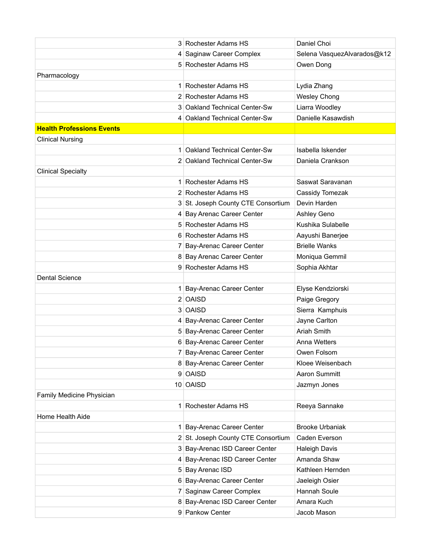|                                  | 3 Rochester Adams HS                                   | Daniel Choi                 |
|----------------------------------|--------------------------------------------------------|-----------------------------|
|                                  | 4 Saginaw Career Complex                               | Selena VasquezAlvarados@k12 |
|                                  | 5 Rochester Adams HS                                   | Owen Dong                   |
| Pharmacology                     |                                                        |                             |
|                                  | 1 Rochester Adams HS                                   | Lydia Zhang                 |
|                                  | 2 Rochester Adams HS                                   | <b>Wesley Chong</b>         |
|                                  | 3 Oakland Technical Center-Sw                          | Liarra Woodley              |
|                                  | 4 Oakland Technical Center-Sw                          | Danielle Kasawdish          |
| <b>Health Professions Events</b> |                                                        |                             |
| <b>Clinical Nursing</b>          |                                                        |                             |
|                                  | 1 Oakland Technical Center-Sw                          | Isabella Iskender           |
|                                  | 2 Oakland Technical Center-Sw                          | Daniela Crankson            |
| <b>Clinical Specialty</b>        |                                                        |                             |
|                                  | 1 Rochester Adams HS                                   | Saswat Saravanan            |
|                                  | 2 Rochester Adams HS                                   | Cassidy Tomezak             |
|                                  | 3 St. Joseph County CTE Consortium                     | Devin Harden                |
|                                  | 4 Bay Arenac Career Center                             | Ashley Geno                 |
|                                  | 5 Rochester Adams HS                                   | Kushika Sulabelle           |
|                                  | 6 Rochester Adams HS                                   | Aayushi Banerjee            |
|                                  | 7 Bay-Arenac Career Center                             | <b>Brielle Wanks</b>        |
|                                  | 8 Bay Arenac Career Center                             | Moniqua Gemmil              |
|                                  | 9 Rochester Adams HS                                   | Sophia Akhtar               |
| <b>Dental Science</b>            |                                                        |                             |
|                                  | 1 Bay-Arenac Career Center                             | Elyse Kendziorski           |
|                                  | 2 OAISD                                                | Paige Gregory               |
|                                  | 3 OAISD                                                | Sierra Kamphuis             |
|                                  | 4 Bay-Arenac Career Center                             | Jayne Carlton               |
|                                  | 5 Bay-Arenac Career Center                             | <b>Ariah Smith</b>          |
|                                  | 6 Bay-Arenac Career Center                             | <b>Anna Wetters</b>         |
|                                  | 7 Bay-Arenac Career Center                             |                             |
|                                  |                                                        | Owen Folsom                 |
|                                  | 8 Bay-Arenac Career Center                             | Kloee Weisenbach            |
|                                  | 9 OAISD                                                | Aaron Summitt               |
|                                  | 10 OAISD                                               | Jazmyn Jones                |
| Family Medicine Physician        |                                                        |                             |
|                                  | 1 Rochester Adams HS                                   | Reeya Sannake               |
| Home Health Aide                 |                                                        |                             |
|                                  | 1 Bay-Arenac Career Center                             | <b>Brooke Urbaniak</b>      |
|                                  | 2 St. Joseph County CTE Consortium                     | Caden Everson               |
|                                  | 3 Bay-Arenac ISD Career Center                         | <b>Haleigh Davis</b>        |
|                                  | 4 Bay-Arenac ISD Career Center                         | Amanda Shaw                 |
|                                  | 5 Bay Arenac ISD                                       | Kathleen Hernden            |
|                                  |                                                        | Jaeleigh Osier              |
|                                  | 6 Bay-Arenac Career Center<br>7 Saginaw Career Complex | Hannah Soule                |
|                                  | 8 Bay-Arenac ISD Career Center                         | Amara Kuch                  |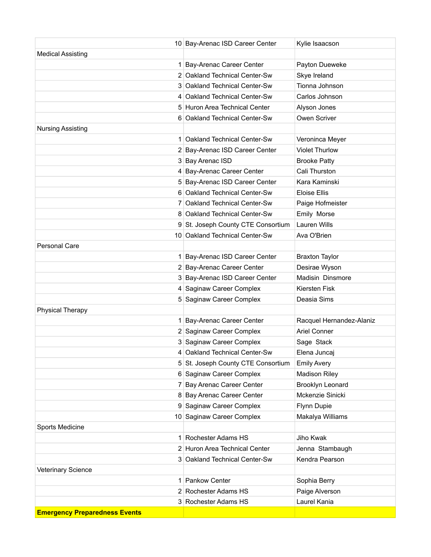|                                      | 10 Bay-Arenac ISD Career Center    | Kylie Isaacson           |
|--------------------------------------|------------------------------------|--------------------------|
| <b>Medical Assisting</b>             |                                    |                          |
|                                      | 1 Bay-Arenac Career Center         | Payton Dueweke           |
|                                      | 2 Oakland Technical Center-Sw      | Skye Ireland             |
|                                      | 3 Oakland Technical Center-Sw      | Tionna Johnson           |
|                                      | 4 Oakland Technical Center-Sw      | Carlos Johnson           |
|                                      | 5 Huron Area Technical Center      | Alyson Jones             |
|                                      | 6 Oakland Technical Center-Sw      | Owen Scriver             |
| <b>Nursing Assisting</b>             |                                    |                          |
|                                      | 1 Oakland Technical Center-Sw      | Veroninca Meyer          |
|                                      | 2 Bay-Arenac ISD Career Center     | <b>Violet Thurlow</b>    |
|                                      | 3 Bay Arenac ISD                   | <b>Brooke Patty</b>      |
|                                      | 4 Bay-Arenac Career Center         | Cali Thurston            |
|                                      | 5 Bay-Arenac ISD Career Center     | Kara Kaminski            |
|                                      | 6 Oakland Technical Center-Sw      | <b>Eloise Ellis</b>      |
|                                      | 7 Oakland Technical Center-Sw      | Paige Hofmeister         |
|                                      | 8 Oakland Technical Center-Sw      | Emily Morse              |
|                                      | 9 St. Joseph County CTE Consortium | Lauren Wills             |
|                                      | 10 Oakland Technical Center-Sw     | Ava O'Brien              |
| <b>Personal Care</b>                 |                                    |                          |
|                                      | 1 Bay-Arenac ISD Career Center     | <b>Braxton Taylor</b>    |
|                                      | 2 Bay-Arenac Career Center         | Desirae Wyson            |
|                                      | 3 Bay-Arenac ISD Career Center     | Madisin Dinsmore         |
|                                      | 4 Saginaw Career Complex           | Kiersten Fisk            |
|                                      | 5 Saginaw Career Complex           | Deasia Sims              |
| <b>Physical Therapy</b>              |                                    |                          |
|                                      | 1 Bay-Arenac Career Center         | Racquel Hernandez-Alaniz |
|                                      | 2 Saginaw Career Complex           | <b>Ariel Conner</b>      |
|                                      | 3 Saginaw Career Complex           | Sage Stack               |
|                                      | 4 Oakland Technical Center-Sw      | Elena Juncaj             |
|                                      | 5 St. Joseph County CTE Consortium | <b>Emily Avery</b>       |
|                                      | 6 Saginaw Career Complex           | <b>Madison Riley</b>     |
|                                      | 7 Bay Arenac Career Center         | Brooklyn Leonard         |
|                                      | 8 Bay Arenac Career Center         | Mckenzie Sinicki         |
|                                      | 9 Saginaw Career Complex           | Flynn Dupie              |
|                                      | 10 Saginaw Career Complex          | Makalya Williams         |
| Sports Medicine                      |                                    |                          |
| 1 <sup>1</sup>                       | Rochester Adams HS                 | Jiho Kwak                |
|                                      | 2 Huron Area Technical Center      | Jenna Stambaugh          |
|                                      | 3 Oakland Technical Center-Sw      | Kendra Pearson           |
| <b>Veterinary Science</b>            |                                    |                          |
| 1                                    | Pankow Center                      | Sophia Berry             |
|                                      | 2 Rochester Adams HS               | Paige Alverson           |
|                                      | 3 Rochester Adams HS               | Laurel Kania             |
| <b>Emergency Preparedness Events</b> |                                    |                          |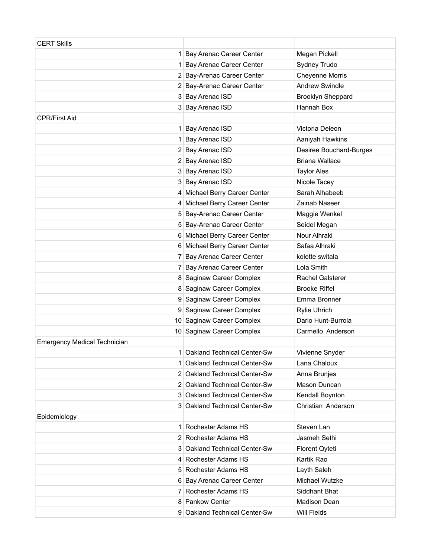| <b>CERT Skills</b>                  |                               |                          |
|-------------------------------------|-------------------------------|--------------------------|
|                                     | 1 Bay Arenac Career Center    | Megan Pickell            |
|                                     | 1 Bay Arenac Career Center    | Sydney Trudo             |
|                                     | 2 Bay-Arenac Career Center    | <b>Cheyenne Morris</b>   |
|                                     | 2 Bay-Arenac Career Center    | <b>Andrew Swindle</b>    |
|                                     | 3 Bay Arenac ISD              | <b>Brooklyn Sheppard</b> |
|                                     | 3 Bay Arenac ISD              | Hannah Box               |
| <b>CPR/First Aid</b>                |                               |                          |
|                                     | 1 Bay Arenac ISD              | Victoria Deleon          |
|                                     | 1 Bay Arenac ISD              | Aaniyah Hawkins          |
|                                     | 2 Bay Arenac ISD              | Desiree Bouchard-Burges  |
|                                     | 2 Bay Arenac ISD              | <b>Briana Wallace</b>    |
|                                     | 3 Bay Arenac ISD              | <b>Taylor Ales</b>       |
|                                     | 3 Bay Arenac ISD              | Nicole Tacey             |
|                                     | 4 Michael Berry Career Center | Sarah Alhabeeb           |
|                                     | 4 Michael Berry Career Center | Zainab Naseer            |
|                                     | 5 Bay-Arenac Career Center    | Maggie Wenkel            |
|                                     | 5 Bay-Arenac Career Center    | Seidel Megan             |
|                                     | 6 Michael Berry Career Center | Nour Alhraki             |
|                                     | 6 Michael Berry Career Center | Safaa Alhraki            |
|                                     | 7 Bay Arenac Career Center    | kolette switala          |
|                                     | 7 Bay Arenac Career Center    | Lola Smith               |
|                                     | 8 Saginaw Career Complex      | <b>Rachel Galsterer</b>  |
|                                     | 8 Saginaw Career Complex      | <b>Brooke Riffel</b>     |
|                                     | 9 Saginaw Career Complex      | Emma Bronner             |
|                                     | 9 Saginaw Career Complex      | Rylie Uhrich             |
|                                     | 10 Saginaw Career Complex     | Dario Hunt-Burrola       |
|                                     | 10 Saginaw Career Complex     | Carmello Anderson        |
| <b>Emergency Medical Technician</b> |                               |                          |
|                                     | 1 Oakland Technical Center-Sw | Vivienne Snyder          |
|                                     | 1 Oakland Technical Center-Sw | Lana Chaloux             |
|                                     | 2 Oakland Technical Center-Sw | Anna Brunjes             |
|                                     | 2 Oakland Technical Center-Sw | Mason Duncan             |
|                                     | 3 Oakland Technical Center-Sw | Kendall Boynton          |
|                                     | 3 Oakland Technical Center-Sw | Christian Anderson       |
| Epidemiology                        |                               |                          |
|                                     | 1 Rochester Adams HS          | Steven Lan               |
|                                     | 2 Rochester Adams HS          | Jasmeh Sethi             |
|                                     | 3 Oakland Technical Center-Sw | Florent Qyteti           |
|                                     | 4 Rochester Adams HS          | Kartik Rao               |
|                                     | 5 Rochester Adams HS          | Layth Saleh              |
|                                     | 6 Bay Arenac Career Center    | Michael Wutzke           |
|                                     | 7 Rochester Adams HS          | Siddhant Bhat            |
|                                     | 8 Pankow Center               | <b>Madison Dean</b>      |
|                                     | 9 Oakland Technical Center-Sw | <b>Will Fields</b>       |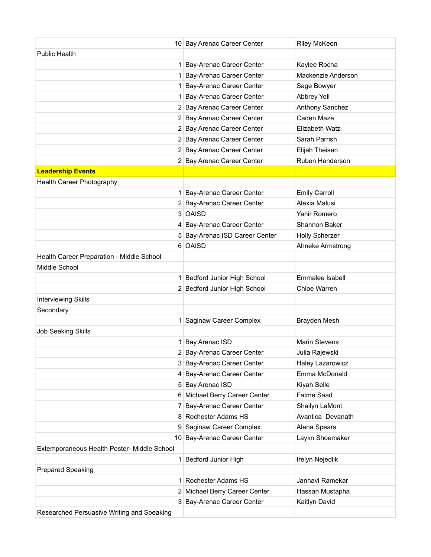|                                             | 10 Bay Arenac Career Center    | <b>Riley McKeon</b>   |
|---------------------------------------------|--------------------------------|-----------------------|
| <b>Public Health</b>                        |                                |                       |
|                                             | 1 Bay-Arenac Career Center     | Kaylee Rocha          |
|                                             | 1 Bay-Arenac Career Center     | Mackenzie Anderson    |
|                                             | 1 Bay-Arenac Career Center     | Sage Bowyer           |
|                                             | 1 Bay-Arenac Career Center     | Abbrey Yell           |
|                                             | 2 Bay Arenac Career Center     | Anthony Sanchez       |
|                                             | 2 Bay Arenac Career Center     | Caden Maze            |
|                                             | 2 Bay Arenac Career Center     | Elizabeth Watz        |
|                                             | 2 Bay Arenac Career Center     | Sarah Parrish         |
|                                             | 2 Bay Arenac Career Center     | Elijah Theisen        |
|                                             | 2 Bay Arenac Career Center     | Ruben Henderson       |
| <b>Leadership Events</b>                    |                                |                       |
| Health Career Photography                   |                                |                       |
|                                             | 1 Bay-Arenac Career Center     | <b>Emily Carroll</b>  |
|                                             | 2 Bay-Arenac Career Center     | Alexia Malusi         |
|                                             | 3 OAISD                        | Yahir Romero          |
|                                             | 4 Bay-Arenac Career Center     | Shannon Baker         |
|                                             | 5 Bay-Arenac ISD Career Center | <b>Holly Scherzer</b> |
|                                             | 6 OAISD                        | Ahneke Armstrong      |
| Health Career Preparation - Middle School   |                                |                       |
| Middle School                               |                                |                       |
|                                             | 1 Bedford Junior High School   | Emmalee Isabell       |
|                                             | 2 Bedford Junior High School   | Chloe Warren          |
| <b>Interviewing Skills</b>                  |                                |                       |
| Secondary                                   |                                |                       |
|                                             | 1 Saginaw Career Complex       | Brayden Mesh          |
| Job Seeking Skills                          |                                |                       |
|                                             | 1 Bay Arenac ISD               | <b>Marin Stevens</b>  |
|                                             | 2 Bay-Arenac Career Center     | Julia Rajewski        |
|                                             | 3 Bay-Arenac Career Center     | Haley Lazarowicz      |
|                                             | 4 Bay-Arenac Career Center     | Emma McDonald         |
|                                             | 5 Bay Arenac ISD               | Kiyah Selle           |
|                                             | 6 Michael Berry Career Center  | Fatme Saad            |
|                                             | 7 Bay-Arenac Career Center     | Shailyn LaMont        |
|                                             | 8 Rochester Adams HS           | Avantica Devanath     |
|                                             | 9 Saginaw Career Complex       | Alena Spears          |
|                                             | 10 Bay-Arenac Career Center    | Laykn Shoemaker       |
| Extemporaneous Health Poster- Middle School |                                |                       |
|                                             | 1 Bedford Junior High          | Irelyn Nejedlik       |
| Prepared Speaking                           |                                |                       |
|                                             | 1 Rochester Adams HS           | Janhavi Ramekar       |
|                                             | 2 Michael Berry Career Center  | Hassan Mustapha       |
|                                             | 3 Bay-Arenac Career Center     | Kaitlyn David         |
| Researched Persuasive Writing and Speaking  |                                |                       |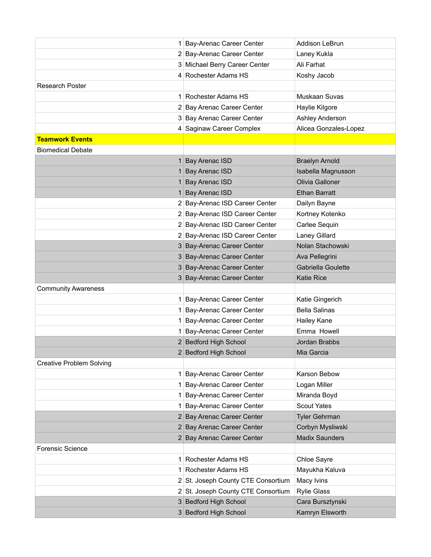|                                 | 1 Bay-Arenac Career Center         | Addison LeBrun        |
|---------------------------------|------------------------------------|-----------------------|
|                                 | 2 Bay-Arenac Career Center         | Laney Kukla           |
|                                 | 3 Michael Berry Career Center      | Ali Farhat            |
|                                 | 4 Rochester Adams HS               | Koshy Jacob           |
| <b>Research Poster</b>          |                                    |                       |
|                                 | 1 Rochester Adams HS               | Muskaan Suvas         |
|                                 | 2 Bay Arenac Career Center         | Haylie Kilgore        |
|                                 | 3 Bay Arenac Career Center         | Ashley Anderson       |
|                                 | 4 Saginaw Career Complex           | Alicea Gonzales-Lopez |
| <b>Teamwork Events</b>          |                                    |                       |
| <b>Biomedical Debate</b>        |                                    |                       |
|                                 | 1 Bay Arenac ISD                   | <b>Braelyn Arnold</b> |
|                                 | 1 Bay Arenac ISD                   | Isabella Magnusson    |
|                                 | 1 Bay Arenac ISD                   | Olivia Galloner       |
|                                 | 1 Bay Arenac ISD                   | <b>Ethan Barratt</b>  |
|                                 | 2 Bay-Arenac ISD Career Center     | Dailyn Bayne          |
|                                 | 2 Bay-Arenac ISD Career Center     | Kortney Kotenko       |
|                                 | 2 Bay-Arenac ISD Career Center     | Carlee Sequin         |
|                                 | 2 Bay-Arenac ISD Career Center     | Laney Gillard         |
|                                 | 3 Bay-Arenac Career Center         | Nolan Stachowski      |
|                                 | 3 Bay-Arenac Career Center         | Ava Pellegrini        |
|                                 | 3 Bay-Arenac Career Center         | Gabriella Goulette    |
|                                 | 3 Bay-Arenac Career Center         | <b>Katie Rice</b>     |
| <b>Community Awareness</b>      |                                    |                       |
|                                 | 1 Bay-Arenac Career Center         | Katie Gingerich       |
|                                 | 1 Bay-Arenac Career Center         | <b>Bella Salinas</b>  |
|                                 | 1 Bay-Arenac Career Center         | Hailey Kane           |
|                                 | 1 Bay-Arenac Career Center         | Emma Howell           |
|                                 | 2 Bedford High School              | Jordan Brabbs         |
|                                 | 2 Bedford High School              | Mia Garcia            |
| <b>Creative Problem Solving</b> |                                    |                       |
|                                 | 1 Bay-Arenac Career Center         | Karson Bebow          |
|                                 | 1 Bay-Arenac Career Center         | Logan Miller          |
|                                 | 1 Bay-Arenac Career Center         | Miranda Boyd          |
|                                 | 1 Bay-Arenac Career Center         | <b>Scout Yates</b>    |
|                                 | 2 Bay Arenac Career Center         | <b>Tyler Gehrman</b>  |
|                                 | 2 Bay Arenac Career Center         | Corbyn Mysliwski      |
|                                 | 2 Bay Arenac Career Center         | <b>Madix Saunders</b> |
| <b>Forensic Science</b>         |                                    |                       |
|                                 | 1 Rochester Adams HS               | Chloe Sayre           |
|                                 | 1 Rochester Adams HS               | Mayukha Kaluva        |
|                                 | 2 St. Joseph County CTE Consortium | Macy Ivins            |
|                                 | 2 St. Joseph County CTE Consortium | <b>Rylie Glass</b>    |
|                                 | 3 Bedford High School              | Cara Bursztynski      |
|                                 | 3 Bedford High School              | Kamryn Elsworth       |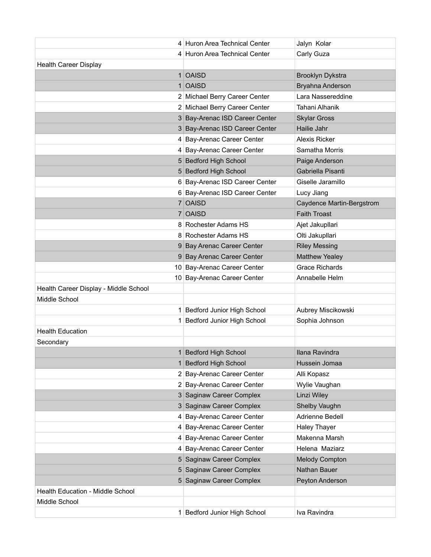|                                       | 4 Huron Area Technical Center  | Jalyn Kolar               |
|---------------------------------------|--------------------------------|---------------------------|
|                                       | 4 Huron Area Technical Center  | Carly Guza                |
| <b>Health Career Display</b>          |                                |                           |
|                                       | 1 OAISD                        | Brooklyn Dykstra          |
|                                       | 1 OAISD                        | Bryahna Anderson          |
|                                       | 2 Michael Berry Career Center  | Lara Nassereddine         |
|                                       | 2 Michael Berry Career Center  | Tahani Alhanik            |
|                                       | 3 Bay-Arenac ISD Career Center | <b>Skylar Gross</b>       |
|                                       | 3 Bay-Arenac ISD Career Center | Hailie Jahr               |
|                                       | 4 Bay-Arenac Career Center     | <b>Alexis Ricker</b>      |
|                                       | 4 Bay-Arenac Career Center     | Samatha Morris            |
|                                       | 5 Bedford High School          | Paige Anderson            |
|                                       | 5 Bedford High School          | Gabriella Pisanti         |
|                                       | 6 Bay-Arenac ISD Career Center | Giselle Jaramillo         |
|                                       | 6 Bay-Arenac ISD Career Center | Lucy Jiang                |
|                                       | 7 OAISD                        | Caydence Martin-Bergstrom |
|                                       | 7 OAISD                        | <b>Faith Troast</b>       |
|                                       | 8 Rochester Adams HS           | Ajet Jakupllari           |
|                                       | 8 Rochester Adams HS           | Olti Jakupllari           |
|                                       | 9 Bay Arenac Career Center     | <b>Riley Messing</b>      |
|                                       | 9 Bay Arenac Career Center     | <b>Matthew Yealey</b>     |
|                                       | 10 Bay-Arenac Career Center    | <b>Grace Richards</b>     |
|                                       | 10 Bay-Arenac Career Center    | Annabelle Helm            |
| Health Career Display - Middle School |                                |                           |
| Middle School                         |                                |                           |
|                                       | 1 Bedford Junior High School   | Aubrey Miscikowski        |
|                                       | 1 Bedford Junior High School   | Sophia Johnson            |
| <b>Health Education</b>               |                                |                           |
| Secondary                             |                                |                           |
|                                       | 1 Bedford High School          | Ilana Ravindra            |
|                                       | 1 Bedford High School          | Hussein Jomaa             |
|                                       | 2 Bay-Arenac Career Center     | Alli Kopasz               |
|                                       | 2 Bay-Arenac Career Center     | Wylie Vaughan             |
|                                       | 3 Saginaw Career Complex       | Linzi Wiley               |
|                                       | 3 Saginaw Career Complex       | Shelby Vaughn             |
|                                       | 4 Bay-Arenac Career Center     | Adrienne Bedell           |
|                                       | 4 Bay-Arenac Career Center     | <b>Haley Thayer</b>       |
|                                       | 4 Bay-Arenac Career Center     | Makenna Marsh             |
|                                       | 4 Bay-Arenac Career Center     | Helena Maziarz            |
|                                       | 5 Saginaw Career Complex       | <b>Melody Compton</b>     |
|                                       | 5 Saginaw Career Complex       | Nathan Bauer              |
|                                       | 5 Saginaw Career Complex       | Peyton Anderson           |
| Health Education - Middle School      |                                |                           |
| Middle School                         |                                |                           |
|                                       | 1 Bedford Junior High School   | Iva Ravindra              |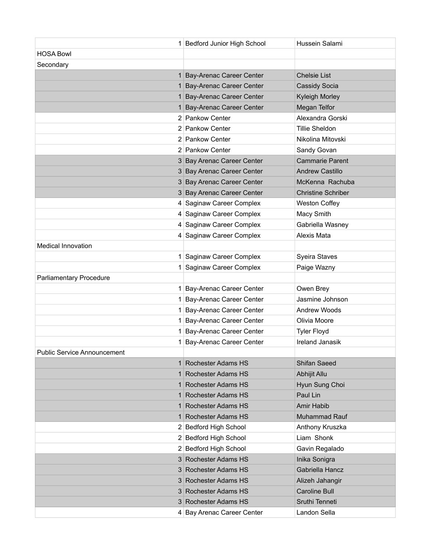|                                | 1 Bedford Junior High School | Hussein Salami            |
|--------------------------------|------------------------------|---------------------------|
| <b>HOSA Bowl</b>               |                              |                           |
| Secondary                      |                              |                           |
|                                | 1 Bay-Arenac Career Center   | <b>Chelsie List</b>       |
|                                | 1 Bay-Arenac Career Center   | <b>Cassidy Socia</b>      |
|                                | 1 Bay-Arenac Career Center   | Kyleigh Morley            |
|                                | 1 Bay-Arenac Career Center   | Megan Telfor              |
|                                | 2 Pankow Center              | Alexandra Gorski          |
|                                | 2 Pankow Center              | Tillie Sheldon            |
|                                | 2 Pankow Center              | Nikolina Mitovski         |
|                                | 2 Pankow Center              | Sandy Govan               |
|                                | 3 Bay Arenac Career Center   | <b>Cammarie Parent</b>    |
|                                | 3 Bay Arenac Career Center   | <b>Andrew Castillo</b>    |
|                                | 3 Bay Arenac Career Center   | McKenna Rachuba           |
|                                | 3 Bay Arenac Career Center   | <b>Christine Schriber</b> |
|                                | 4 Saginaw Career Complex     | <b>Weston Coffey</b>      |
|                                | 4 Saginaw Career Complex     | Macy Smith                |
|                                | 4 Saginaw Career Complex     | Gabriella Wasney          |
|                                | 4 Saginaw Career Complex     | <b>Alexis Mata</b>        |
| <b>Medical Innovation</b>      |                              |                           |
|                                | 1 Saginaw Career Complex     | Syeira Staves             |
|                                | 1 Saginaw Career Complex     | Paige Wazny               |
| <b>Parliamentary Procedure</b> |                              |                           |
|                                | 1 Bay-Arenac Career Center   | Owen Brey                 |
|                                | 1 Bay-Arenac Career Center   | Jasmine Johnson           |
|                                | 1 Bay-Arenac Career Center   | <b>Andrew Woods</b>       |
|                                | 1 Bay-Arenac Career Center   | Olivia Moore              |
|                                | 1 Bay-Arenac Career Center   | <b>Tyler Floyd</b>        |
|                                | 1 Bay-Arenac Career Center   | Ireland Janasik           |
| Public Service Announcement    |                              |                           |
|                                | 1 Rochester Adams HS         | <b>Shifan Saeed</b>       |
|                                | 1 Rochester Adams HS         | Abhijit Allu              |
|                                | 1 Rochester Adams HS         | Hyun Sung Choi            |
|                                | 1 Rochester Adams HS         | Paul Lin                  |
|                                | 1 Rochester Adams HS         | Amir Habib                |
|                                | 1 Rochester Adams HS         | Muhammad Rauf             |
|                                | 2 Bedford High School        | Anthony Kruszka           |
|                                | 2 Bedford High School        | Liam Shonk                |
|                                | 2 Bedford High School        | Gavin Regalado            |
|                                | 3 Rochester Adams HS         | Inika Sonigra             |
|                                | 3 Rochester Adams HS         | Gabriella Hancz           |
|                                | 3 Rochester Adams HS         | Alizeh Jahangir           |
|                                | 3 Rochester Adams HS         | <b>Caroline Bull</b>      |
|                                | 3 Rochester Adams HS         | Sruthi Tenneti            |
|                                | 4 Bay Arenac Career Center   | Landon Sella              |